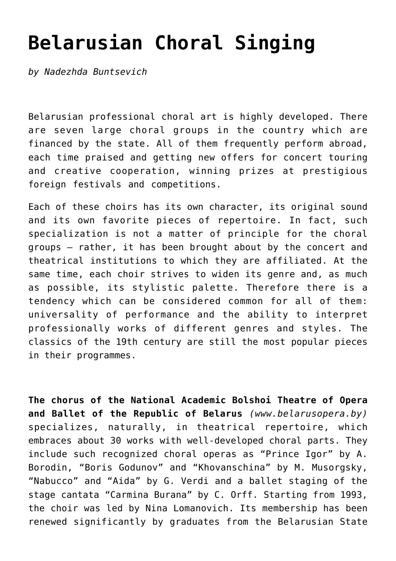## **[Belarusian Choral Singing](http://icb.ifcm.net/belarusian-choral-singing/)**

*by Nadezhda Buntsevich*

Belarusian professional choral art is highly developed. There are seven large choral groups in the country which are financed by the state. All of them frequently perform abroad, each time praised and getting new offers for concert touring and creative cooperation, winning prizes at prestigious foreign festivals and competitions.

Each of these choirs has its own character, its original sound and its own favorite pieces of repertoire. In fact, such specialization is not a matter of principle for the choral groups – rather, it has been brought about by the concert and theatrical institutions to which they are affiliated. At the same time, each choir strives to widen its genre and, as much as possible, its stylistic palette. Therefore there is a tendency which can be considered common for all of them: universality of performance and the ability to interpret professionally works of different genres and styles. The classics of the 19th century are still the most popular pieces in their programmes.

**The chorus of the National Academic Bolshoi Theatre of Opera and Ballet of the Republic of Belarus** *([www.belarusopera.by\)](http://www.belarusopera.by)* specializes, naturally, in theatrical repertoire, which embraces about 30 works with well-developed choral parts. They include such recognized choral operas as "Prince Igor" by A. Borodin, "Boris Godunov" and "Khovanschina" by M. Musorgsky, "Nabucco" and "Aida" by G. Verdi and a ballet staging of the stage cantata "Carmina Burana" by C. Orff. Starting from 1993, the choir was led by Nina Lomanovich. Its membership has been renewed significantly by graduates from the Belarusian State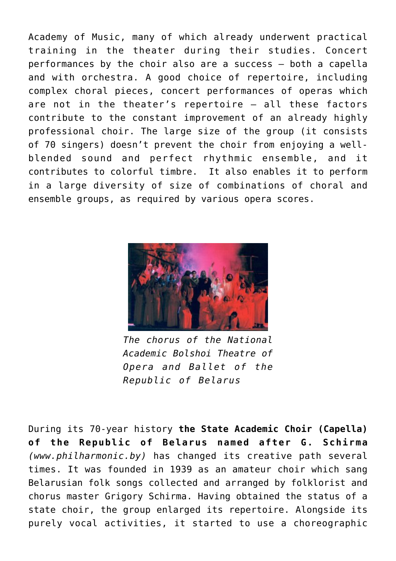Academy of Music, many of which already underwent practical training in the theater during their studies. Concert performances by the choir also are a success – both a capella and with orchestra. A good choice of repertoire, including complex choral pieces, concert performances of operas which are not in the theater's repertoire – all these factors contribute to the constant improvement of an already highly professional choir. The large size of the group (it consists of 70 singers) doesn't prevent the choir from enjoying a wellblended sound and perfect rhythmic ensemble, and it contributes to colorful timbre. It also enables it to perform in a large diversity of size of combinations of choral and ensemble groups, as required by various opera scores.



*The chorus of the National Academic Bolshoi Theatre of Opera and Ballet of the Republic of Belarus*

During its 70-year history **the State Academic Choir (Capella) of the Republic of Belarus named after G. Schirma** *([www.philharmonic.by](http://www.philharmonic.by))* has changed its creative path several times. It was founded in 1939 as an amateur choir which sang Belarusian folk songs collected and arranged by folklorist and chorus master Grigory Schirma. Having obtained the status of a state choir, the group enlarged its repertoire. Alongside its purely vocal activities, it started to use a choreographic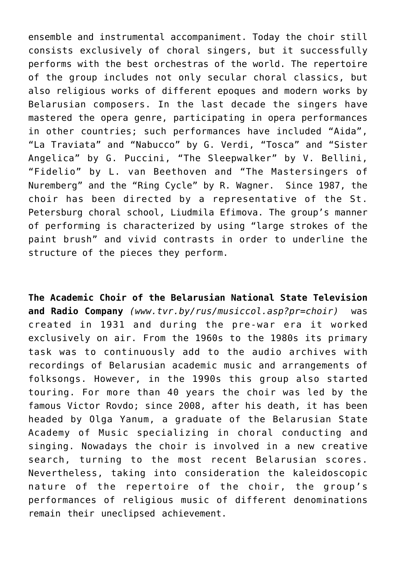ensemble and instrumental accompaniment. Today the choir still consists exclusively of choral singers, but it successfully performs with the best orchestras of the world. The repertoire of the group includes not only secular choral classics, but also religious works of different epoques and modern works by Belarusian composers. In the last decade the singers have mastered the opera genre, participating in opera performances in other countries; such performances have included "Aida", "La Traviata" and "Nabucco" by G. Verdi, "Tosca" and "Sister Angelica" by G. Puccini, "The Sleepwalker" by V. Bellini, "Fidelio" by L. van Beethoven and "The Mastersingers of Nuremberg" and the "Ring Cycle" by R. Wagner. Since 1987, the choir has been directed by a representative of the St. Petersburg choral school, Liudmila Efimova. The group's manner of performing is characterized by using "large strokes of the paint brush" and vivid contrasts in order to underline the structure of the pieces they perform.

**The Academic Choir of the Belarusian National State Television and Radio Company** *([www.tvr.by/rus/musiccol.asp?pr=choir](http://www.tvr.by/rus/musiccol.asp?pr=choir))* was created in 1931 and during the pre-war era it worked exclusively on air. From the 1960s to the 1980s its primary task was to continuously add to the audio archives with recordings of Belarusian academic music and arrangements of folksongs. However, in the 1990s this group also started touring. For more than 40 years the choir was led by the famous Victor Rovdo; since 2008, after his death, it has been headed by Olga Yanum, a graduate of the Belarusian State Academy of Music specializing in choral conducting and singing. Nowadays the choir is involved in a new creative search, turning to the most recent Belarusian scores. Nevertheless, taking into consideration the kaleidoscopic nature of the repertoire of the choir, the group's performances of religious music of different denominations remain their uneclipsed achievement.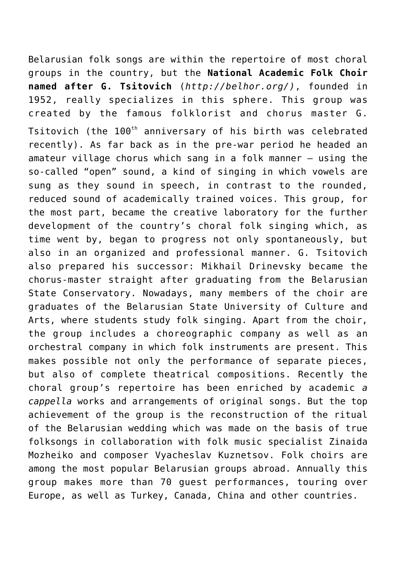Belarusian folk songs are within the repertoire of most choral groups in the country, but the **National Academic Folk Choir named after G. Tsitovich** (*<http://belhor.org/>)*, founded in 1952, really specializes in this sphere. This group was created by the famous folklorist and chorus master G. Tsitovich (the 100<sup>th</sup> anniversary of his birth was celebrated recently). As far back as in the pre-war period he headed an amateur village chorus which sang in a folk manner – using the so-called "open" sound, a kind of singing in which vowels are sung as they sound in speech, in contrast to the rounded, reduced sound of academically trained voices. This group, for the most part, became the creative laboratory for the further development of the country's choral folk singing which, as time went by, began to progress not only spontaneously, but also in an organized and professional manner. G. Tsitovich also prepared his successor: Mikhail Drinevsky became the chorus-master straight after graduating from the Belarusian State Conservatory. Nowadays, many members of the choir are graduates of the Belarusian State University of Culture and Arts, where students study folk singing. Apart from the choir, the group includes a choreographic company as well as an orchestral company in which folk instruments are present. This makes possible not only the performance of separate pieces, but also of complete theatrical compositions. Recently the choral group's repertoire has been enriched by academic *a cappella* works and arrangements of original songs. But the top achievement of the group is the reconstruction of the ritual of the Belarusian wedding which was made on the basis of true folksongs in collaboration with folk music specialist Zinaida Mozheiko and composer Vyacheslav Kuznetsov. Folk choirs are among the most popular Belarusian groups abroad. Annually this group makes more than 70 guest performances, touring over Europe, as well as Turkey, Canada, China and other countries.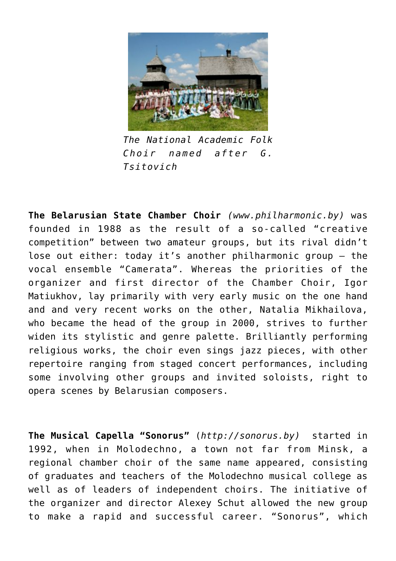

*The National Academic Folk Choir named after G. Tsitovich*

**The Belarusian State Chamber Choir** *([www.philharmonic.by\)](http://www.philharmonic.by)* was founded in 1988 as the result of a so-called "creative competition" between two amateur groups, but its rival didn't lose out either: today it's another philharmonic group – the vocal ensemble "Camerata". Whereas the priorities of the organizer and first director of the Chamber Choir, Igor Matiukhov, lay primarily with very early music on the one hand and and very recent works on the other, Natalia Mikhailova, who became the head of the group in 2000, strives to further widen its stylistic and genre palette. Brilliantly performing religious works, the choir even sings jazz pieces, with other repertoire ranging from staged concert performances, including some involving other groups and invited soloists, right to opera scenes by Belarusian composers.

**The Musical Capella "Sonorus"** (*[http://sonorus.by](http://sonorus.by/))* started in 1992, when in Molodechno, a town not far from Minsk, a regional chamber choir of the same name appeared, consisting of graduates and teachers of the Molodechno musical college as well as of leaders of independent choirs. The initiative of the organizer and director Alexey Schut allowed the new group to make a rapid and successful career. "Sonorus", which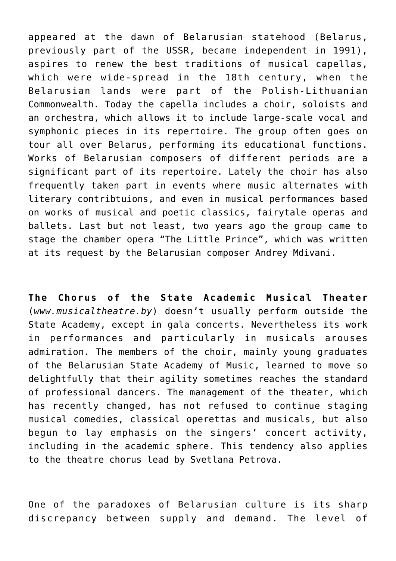appeared at the dawn of Belarusian statehood (Belarus, previously part of the USSR, became independent in 1991), aspires to renew the best traditions of musical capellas, which were wide-spread in the 18th century, when the Belarusian lands were part of the Polish-Lithuanian Commonwealth. Today the capella includes a choir, soloists and an orchestra, which allows it to include large-scale vocal and symphonic pieces in its repertoire. The group often goes on tour all over Belarus, performing its educational functions. Works of Belarusian composers of different periods are a significant part of its repertoire. Lately the choir has also frequently taken part in events where music alternates with literary contribtuions, and even in musical performances based on works of musical and poetic classics, fairytale operas and ballets. Last but not least, two years ago the group came to stage the chamber opera "The Little Prince", which was written at its request by the Belarusian composer Andrey Mdivani.

**The Chorus of the State Academic Musical Theater** (*[www.musicaltheatre.by](http://www.musicaltheatre.by)*) doesn't usually perform outside the State Academy, except in gala concerts. Nevertheless its work in performances and particularly in musicals arouses admiration. The members of the choir, mainly young graduates of the Belarusian State Academy of Music, learned to move so delightfully that their agility sometimes reaches the standard of professional dancers. The management of the theater, which has recently changed, has not refused to continue staging musical comedies, classical operettas and musicals, but also begun to lay emphasis on the singers' concert activity, including in the academic sphere. This tendency also applies to the theatre chorus lead by Svetlana Petrova.

One of the paradoxes of Belarusian culture is its sharp discrepancy between supply and demand. The level of